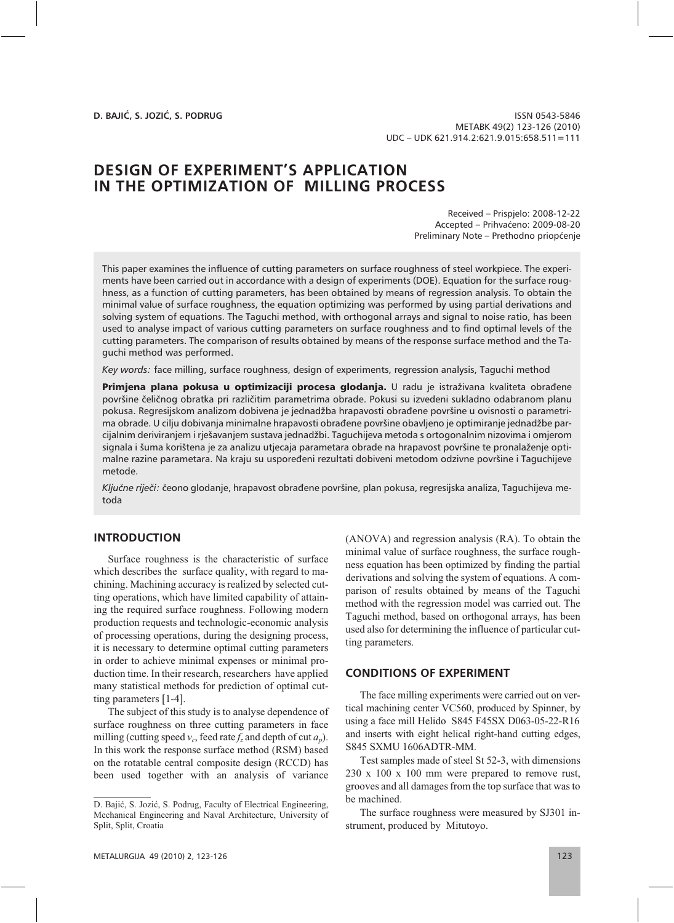**D. BAJIĆ, S. JOZIĆ, S. PODRUG** 

ISSN 0543-5846 METABK 49(2) 123-126 (2010) UDC – UDK 621.914.2:621.9.015:658.511=111

### **DESIGN OF EXPERIMENT'S APPLICATION IN THE OPTIMIZATION OF MILLING PROCESS IN THE OPTIMIZATION OF MILLING PROCESS**

Received – Prispjelo: 2008-12-22 Accepted – Prihvaćeno: 2009-08-20 Preliminary Note – Prethodno priopćenje

This paper examines the influence of cutting parameters on surface roughness of steel workpiece. The experiments have been carried out in accordance with a design of experiments (DOE). Equation for the surface roughness, as a function of cutting parameters, has been obtained by means of regression analysis. To obtain the minimal value of surface roughness, the equation optimizing was performed by using partial derivations and solving system of equations. The Taguchi method, with orthogonal arrays and signal to noise ratio, has been used to analyse impact of various cutting parameters on surface roughness and to find optimal levels of the cutting parameters. The comparison of results obtained by means of the response surface method and the Taguchi method was performed.

*Key words:* face milling, surface roughness, design of experiments, regression analysis, Taguchi method

Primjena plana pokusa u optimizaciji procesa glodanja. U radu je istraživana kvaliteta obrađene površine čeličnog obratka pri različitim parametrima obrade. Pokusi su izvedeni sukladno odabranom planu pokusa. Regresijskom analizom dobivena je jednadžba hrapavosti obrađene površine u ovisnosti o parametrima obrade. U cilju dobivanja minimalne hrapavosti obrađene površine obavljeno je optimiranje jednadžbe parcijalnim deriviranjem i rješavanjem sustava jednadžbi. Taguchijeva metoda s ortogonalnim nizovima i omjerom signala i šuma korištena je za analizu utjecaja parametara obrade na hrapavost površine te pronalaženje optimalne razine parametara. Na kraju su uspoređeni rezultati dobiveni metodom odzivne površine i Taguchijeve metode.

*Ključne riječi:* čeono glodanje, hrapavost obrađene površine, plan pokusa, regresijska analiza, Taguchijeva metoda

# **INTRODUCTION**

Surface roughness is the characteristic of surface which describes the surface quality, with regard to machining. Machining accuracy is realized by selected cutting operations, which have limited capability of attaining the required surface roughness. Following modern production requests and technologic-economic analysis of processing operations, during the designing process, it is necessary to determine optimal cutting parameters in order to achieve minimal expenses or minimal production time. In their research, researchers have applied many statistical methods for prediction of optimal cutting parameters [1-4].

The subject of this study is to analyse dependence of surface roughness on three cutting parameters in face milling (cutting speed  $v_c$ , feed rate  $f_z$  and depth of cut  $a_p$ ). In this work the response surface method (RSM) based on the rotatable central composite design (RCCD) has been used together with an analysis of variance

METALURGIJA 49 (2010) 2, 123-126 123

(ANOVA) and regression analysis (RA). To obtain the minimal value of surface roughness, the surface roughness equation has been optimized by finding the partial derivations and solving the system of equations. A comparison of results obtained by means of the Taguchi method with the regression model was carried out. The Taguchi method, based on orthogonal arrays, has been used also for determining the influence of particular cutting parameters.

#### **CONDITIONS OF EXPERIMENT CONDITIONS OF EXPERIMENT**

The face milling experiments were carried out on vertical machining center VC560, produced by Spinner, by using a face mill Helido S845 F45SX D063-05-22-R16 and inserts with eight helical right-hand cutting edges, S845 SXMU 1606ADTR-MM.

Test samples made of steel St 52-3, with dimensions 230 x 100 x 100 mm were prepared to remove rust, grooves and all damages from the top surface that was to be machined.

The surface roughness were measured by SJ301 instrument, produced by Mitutoyo.

D. Bajić, S. Jozić, S. Podrug, Faculty of Electrical Engineering, Mechanical Engineering and Naval Architecture, University of Split, Split, Croatia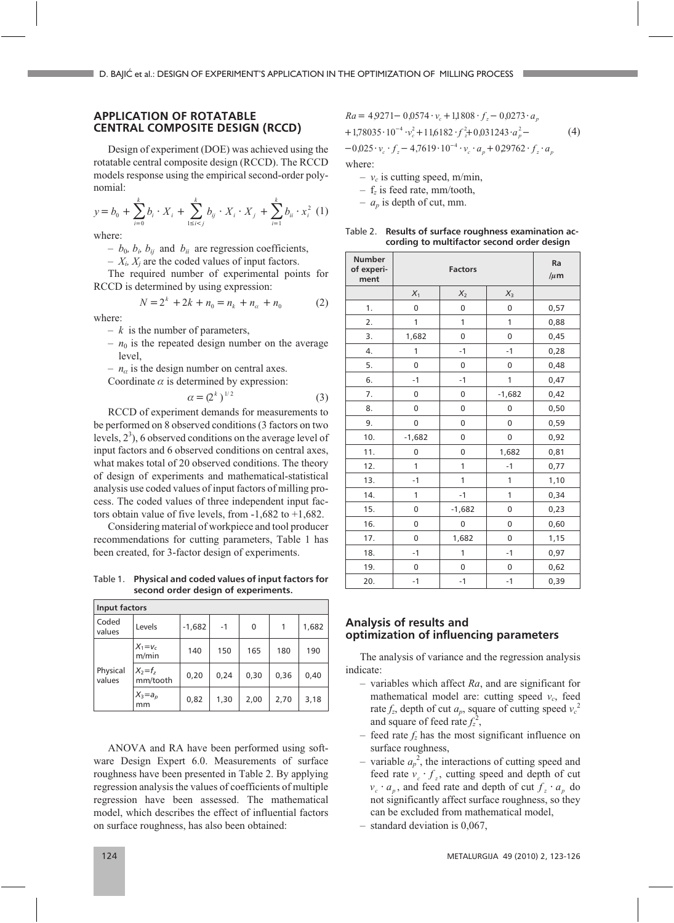### **APPLICATION OF ROTATABLE CENTRAL COMPOSITE DESIGN (RCCD)**

Design of experiment (DOE) was achieved using the rotatable central composite design (RCCD). The RCCD models response using the empirical second-order polynomial:

$$
y = b_0 + \sum_{i=0}^{k} b_i \cdot X_i + \sum_{1 \le i < j}^{k} b_{ij} \cdot X_i \cdot X_j + \sum_{i=1}^{k} b_{ii} \cdot x_i^2 \tag{1}
$$

where:

 $- b_0$ ,  $b_i$ ,  $b_{ij}$  and  $b_{ii}$  are regression coefficients,

 $- X_i$ ,  $X_j$  are the coded values of input factors.

The required number of experimental points for RCCD is determined by using expression:

$$
N = 2k + 2k + n0 = nk + na + n0
$$
 (2)

where:

- *<sup>k</sup>* is the number of parameters,
- $n_0$  is the repeated design number on the average level,

 $- n_{\alpha}$  is the design number on central axes.

Coordinate  $\alpha$  is determined by expression:

$$
\alpha = (2^k)^{1/2} \tag{3}
$$

RCCD of experiment demands for measurements to be performed on 8 observed conditions (3 factors on two levels,  $2<sup>3</sup>$ ), 6 observed conditions on the average level of input factors and 6 observed conditions on central axes, what makes total of 20 observed conditions. The theory of design of experiments and mathematical-statistical analysis use coded values of input factors of milling process. The coded values of three independent input factors obtain value of five levels, from -1,682 to +1,682.

Considering material of workpiece and tool producer recommendations for cutting parameters, Table 1 has been created, for 3-factor design of experiments.

Table 1. **Physical and coded values of input factors for second order design of experiments.**

| Input factors      |                         |          |      |      |      |       |  |  |
|--------------------|-------------------------|----------|------|------|------|-------|--|--|
| Coded<br>values    | Levels                  | $-1,682$ | $-1$ | 0    |      | 1,682 |  |  |
| Physical<br>values | $X_1 = v_c$<br>m/min    | 140      | 150  | 165  | 180  | 190   |  |  |
|                    | $X_2 = f_z$<br>mm/tooth | 0,20     | 0,24 | 0,30 | 0,36 | 0,40  |  |  |
|                    | $X_3=a_p$<br>mm         | 0,82     | 1,30 | 2,00 | 2,70 | 3,18  |  |  |

ANOVA and RA have been performed using software Design Expert 6.0. Measurements of surface roughness have been presented in Table 2. By applying regression analysis the values of coefficients of multiple regression have been assessed. The mathematical model, which describes the effect of influential factors on surface roughness, has also been obtained:

$$
Ra = 4,9271 - 0,0574 \cdot v_c + 1,1808 \cdot f_z - 0,0273 \cdot a_p
$$
  
+ 1,78035 \cdot 10^{-4} \cdot v\_c^2 + 11,6182 \cdot f\_z^2 + 0,031243 \cdot a\_p^2 - (4)

 $-0.025 \cdot v_c \cdot f_z - 4.761$ *v f*  $(0.025 \cdot v_c \cdot f_z - 4.7619 \cdot 10^{-4} \cdot v_c \cdot a_p + 0.29762 \cdot f_z \cdot a_p)$ 

where:

- $v_c$  is cutting speed, m/min,
- <sup>f</sup>*z* is feed rate, mm/tooth,
- $a_p$  is depth of cut, mm.

Table 2. **Results of surface roughness examination according to multifactor second order design**

| <b>Number</b><br>of experi-<br>ment |             | Ra<br>$/\mu$ m |             |      |
|-------------------------------------|-------------|----------------|-------------|------|
|                                     | $X_1$       | $X_2$          | $X_3$       |      |
| 1.                                  | 0           | 0              | $\mathbf 0$ | 0,57 |
| 2.                                  | 1           | 1              | 1           | 0,88 |
| 3.                                  | 1,682       | 0              | $\mathbf 0$ | 0,45 |
| 4.                                  | 1           | $-1$           | $-1$        | 0,28 |
| 5.                                  | $\mathbf 0$ | 0              | 0           | 0,48 |
| 6.                                  | $-1$        | $-1$           | 1           | 0,47 |
| 7.                                  | 0           | 0              | $-1,682$    | 0,42 |
| 8.                                  | $\mathbf 0$ | 0              | 0           | 0,50 |
| 9.                                  | 0           | 0              | $\mathbf 0$ | 0,59 |
| 10.                                 | $-1,682$    | 0              | 0           | 0,92 |
| 11.                                 | 0           | 0              | 1,682       | 0,81 |
| 12.                                 | 1           | 1              | $-1$        | 0,77 |
| 13.                                 | $-1$        | 1              | 1           | 1,10 |
| 14.                                 | 1           | $-1$           | 1           | 0,34 |
| 15.                                 | 0           | $-1,682$       | 0           | 0,23 |
| 16.                                 | 0           | 0              | 0           | 0,60 |
| 17.                                 | 0           | 1,682          | $\mathbf 0$ | 1,15 |
| 18.                                 | $-1$        | 1              | $-1$        | 0,97 |
| 19.                                 | 0           | 0              | 0           | 0,62 |
| 20.                                 | $-1$        | $-1$           | $-1$        | 0,39 |

### **Analysis of results and optimization of influencing parameters**

The analysis of variance and the regression analysis indicate:

- variables which affect *Ra*, and are significant for mathematical model are: cutting speed  $v_c$ , feed rate  $f_z$ , depth of cut  $a_p$ , square of cutting speed  $v_c^2$ and square of feed rate  $f_z^2$ ,
- feed rate  $f_z$  has the most significant influence on surface roughness,
- variable  $a_p^2$ , the interactions of cutting speed and<br>feed rate  $y + f$ , cutting speed and denth of cut feed rate  $v_c \cdot f_z$ , cutting speed and depth of cut  $v_c \cdot a_p$ , and feed rate and depth of cut  $f_a \cdot a_p$  do not significantly affect surface roughness, so they can be excluded from mathematical model,
- standard deviation is 0,067,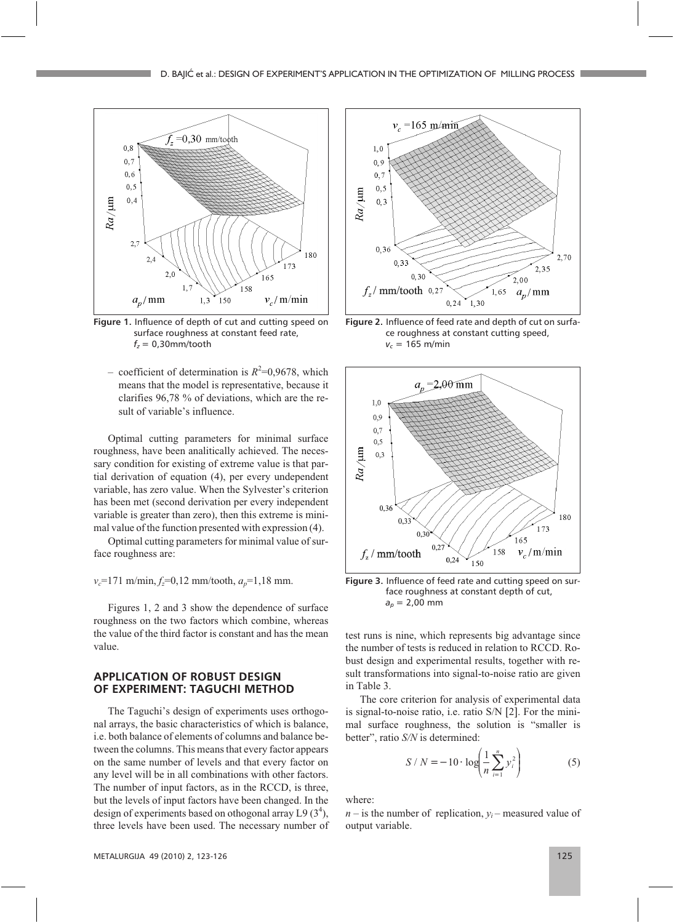

**Figure 1.** Influence of depth of cut and cutting speed on surface roughness at constant feed rate, *fz* = 0,30mm/tooth

– coefficient of determination is  $R^2$ =0,9678, which<br>means that the model is representative because it means that the model is representative, because it clarifies 96,78 % of deviations, which are the result of variable's influence.

Optimal cutting parameters for minimal surface roughness, have been analitically achieved. The necessary condition for existing of extreme value is that partial derivation of equation (4), per every undependent variable, has zero value. When the Sylvester's criterion has been met (second derivation per every independent variable is greater than zero), then this extreme is minimal value of the function presented with expression (4).

Optimal cutting parameters for minimal value of surface roughness are:

*v<sub>c</sub>*=171 m/min,  $f_z$ =0,12 mm/tooth,  $a_p$ =1,18 mm.

Figures 1, 2 and 3 show the dependence of surface roughness on the two factors which combine, whereas the value of the third factor is constant and has the mean value.

## **APPLICATION OF ROBUST DESIGN OF EXPERIMENT: TAGUCHI METHOD**

The Taguchi's design of experiments uses orthogonal arrays, the basic characteristics of which is balance, i.e. both balance of elements of columns and balance between the columns. This means that every factor appears on the same number of levels and that every factor on any level will be in all combinations with other factors. The number of input factors, as in the RCCD, is three, but the levels of input factors have been changed. In the design of experiments based on othogonal array L9  $(3^4)$ , three levels have been used. The necessary number of



**Figure 2.** Influence of feed rate and depth of cut on surface roughness at constant cutting speed,  $v_c = 165$  m/min



**Figure 3.** Influence of feed rate and cutting speed on surface roughness at constant depth of cut, *ap* = 2,00 mm

test runs is nine, which represents big advantage since the number of tests is reduced in relation to RCCD. Robust design and experimental results, together with result transformations into signal-to-noise ratio are given in Table 3.

The core criterion for analysis of experimental data is signal-to-noise ratio, i.e. ratio S/N [2]. For the minimal surface roughness, the solution is "smaller is better", ratio *S/N* is determined:

$$
S / N = -10 \cdot \log \left( \frac{1}{n} \sum_{i=1}^{n} y_i^2 \right)
$$
 (5)

where:

 $n -$  is the number of replication,  $y_i$  – measured value of output variable.